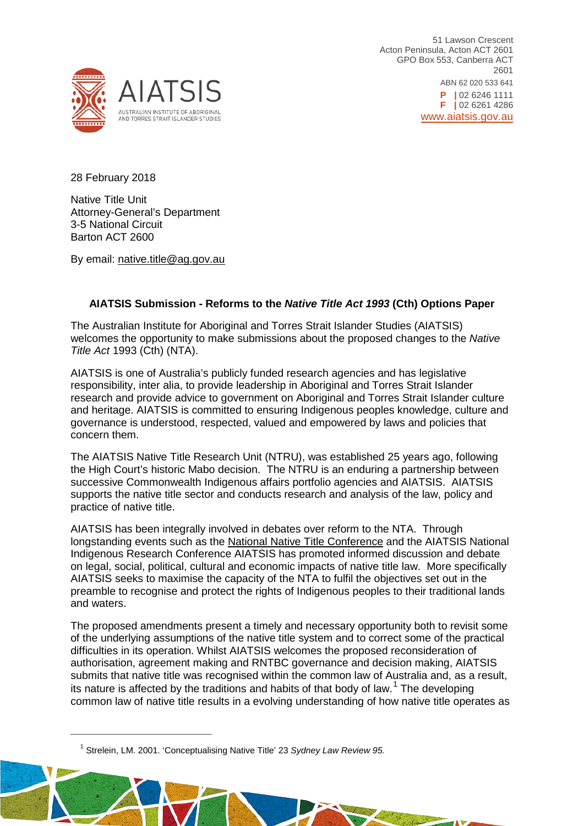

51 Lawson Crescent Acton Peninsula, Acton ACT 2601 GPO Box 553, Canberra ACT 2601 ABN 62 020 533 641 **P |** 02 6246 1111 **F |** 02 6261 4286 [www.aiatsis.gov.au](http://www.aiatsis.gov.au/)

28 February 2018

<span id="page-0-0"></span> $\overline{a}$ 

Native Title Unit Attorney-General's Department 3-5 National Circuit Barton ACT 2600

By email: native.title@ag.gov.au

# **AIATSIS Submission - Reforms to the** *Native Title Act 1993* **(Cth) Options Paper**

The Australian Institute for Aboriginal and Torres Strait Islander Studies (AIATSIS) welcomes the opportunity to make submissions about the proposed changes to the *Native Title Act* 1993 (Cth) (NTA).

AIATSIS is one of Australia's publicly funded research agencies and has legislative responsibility, inter alia, to provide leadership in Aboriginal and Torres Strait Islander research and provide advice to government on Aboriginal and Torres Strait Islander culture and heritage. AIATSIS is committed to ensuring Indigenous peoples knowledge, culture and governance is understood, respected, valued and empowered by laws and policies that concern them.

The AIATSIS Native Title Research Unit (NTRU), was established 25 years ago, following the High Court's historic Mabo decision. The NTRU is an enduring a partnership between successive Commonwealth Indigenous affairs portfolio agencies and AIATSIS. AIATSIS supports the native title sector and conducts research and analysis of the law, policy and practice of native title.

AIATSIS has been integrally involved in debates over reform to the NTA. Through longstanding events such as the [National Native Title Conference](http://aiatsis.gov.au/news-and-events/events/national-native-title-conference-2017) and the AIATSIS National Indigenous Research Conference AIATSIS has promoted informed discussion and debate on legal, social, political, cultural and economic impacts of native title law. More specifically AIATSIS seeks to maximise the capacity of the NTA to fulfil the objectives set out in the preamble to recognise and protect the rights of Indigenous peoples to their traditional lands and waters.

The proposed amendments present a timely and necessary opportunity both to revisit some of the underlying assumptions of the native title system and to correct some of the practical difficulties in its operation. Whilst AIATSIS welcomes the proposed reconsideration of authorisation, agreement making and RNTBC governance and decision making, AIATSIS submits that native title was recognised within the common law of Australia and, as a result, its nature is affected by the traditions and habits of that body of law.<sup>[1](#page-0-0)</sup> The developing common law of native title results in a evolving understanding of how native title operates as

Land of a don't

<sup>1</sup> Strelein, LM. 2001. 'Conceptualising Native Title' 23 *Sydney Law Review 95.*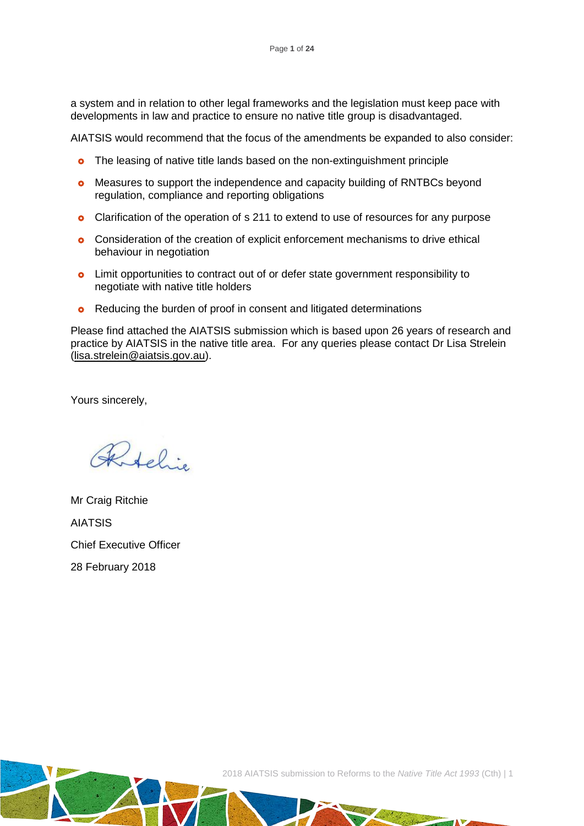a system and in relation to other legal frameworks and the legislation must keep pace with developments in law and practice to ensure no native title group is disadvantaged.

AIATSIS would recommend that the focus of the amendments be expanded to also consider:

- **o** The leasing of native title lands based on the non-extinguishment principle
- **o** Measures to support the independence and capacity building of RNTBCs beyond regulation, compliance and reporting obligations
- **o** Clarification of the operation of s 211 to extend to use of resources for any purpose
- **o** Consideration of the creation of explicit enforcement mechanisms to drive ethical behaviour in negotiation
- **o** Limit opportunities to contract out of or defer state government responsibility to negotiate with native title holders
- **o** Reducing the burden of proof in consent and litigated determinations

Please find attached the AIATSIS submission which is based upon 26 years of research and practice by AIATSIS in the native title area. For any queries please contact Dr Lisa Strelein [\(lisa.strelein@aiatsis.gov.au\)](mailto:lisa.strelein@aiatsis.gov.au).

Yours sincerely,

Ritchie

Mr Craig Ritchie AIATSIS Chief Executive Officer 28 February 2018

2018 AIATSIS submission to Reforms to the *Native Title Act 1993* (Cth) | 1

 $\frac{1}{2}$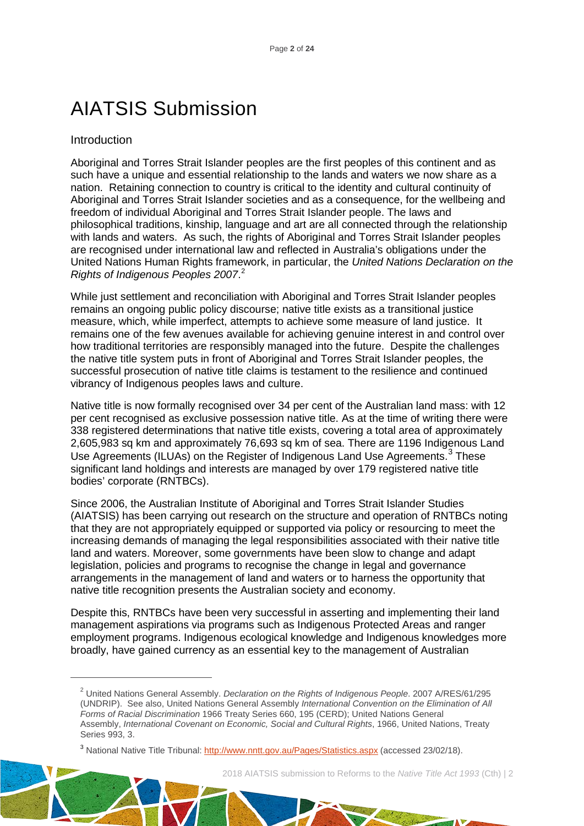# AIATSIS Submission

#### Introduction

<span id="page-2-0"></span> $\overline{a}$ 

Aboriginal and Torres Strait Islander peoples are the first peoples of this continent and as such have a unique and essential relationship to the lands and waters we now share as a nation. Retaining connection to country is critical to the identity and cultural continuity of Aboriginal and Torres Strait Islander societies and as a consequence, for the wellbeing and freedom of individual Aboriginal and Torres Strait Islander people. The laws and philosophical traditions, kinship, language and art are all connected through the relationship with lands and waters. As such, the rights of Aboriginal and Torres Strait Islander peoples are recognised under international law and reflected in Australia's obligations under the United Nations Human Rights framework, in particular, the *United Nations Declaration on the Rights of Indigenous Peoples 2007*. [2](#page-2-0)

While just settlement and reconciliation with Aboriginal and Torres Strait Islander peoples remains an ongoing public policy discourse; native title exists as a transitional justice measure, which, while imperfect, attempts to achieve some measure of land justice. It remains one of the few avenues available for achieving genuine interest in and control over how traditional territories are responsibly managed into the future. Despite the challenges the native title system puts in front of Aboriginal and Torres Strait Islander peoples, the successful prosecution of native title claims is testament to the resilience and continued vibrancy of Indigenous peoples laws and culture.

Native title is now formally recognised over 34 per cent of the Australian land mass: with 12 per cent recognised as exclusive possession native title. As at the time of writing there were 338 registered determinations that native title exists, covering a total area of approximately 2,605,983 sq km and approximately 76,693 sq km of sea. There are 1196 Indigenous Land Use Agreements (ILUAs) on the Register of Indigenous Land Use Agreements.<sup>[3](#page-2-1)</sup> These significant land holdings and interests are managed by over 179 registered native title bodies' corporate (RNTBCs).

Since 2006, the Australian Institute of Aboriginal and Torres Strait Islander Studies (AIATSIS) has been carrying out research on the structure and operation of RNTBCs noting that they are not appropriately equipped or supported via policy or resourcing to meet the increasing demands of managing the legal responsibilities associated with their native title land and waters. Moreover, some governments have been slow to change and adapt legislation, policies and programs to recognise the change in legal and governance arrangements in the management of land and waters or to harness the opportunity that native title recognition presents the Australian society and economy.

Despite this, RNTBCs have been very successful in asserting and implementing their land management aspirations via programs such as Indigenous Protected Areas and ranger employment programs. Indigenous ecological knowledge and Indigenous knowledges more broadly, have gained currency as an essential key to the management of Australian

2018 AIATSIS submission to Reforms to the *Native Title Act 1993* (Cth) | 2

La Strategie

<sup>2</sup> United Nations General Assembly. *Declaration on the Rights of Indigenous People*. 2007 A/RES/61/295 (UNDRIP). See also, United Nations General Assembly *International Convention on the Elimination of All Forms of Racial Discrimination* 1966 Treaty Series 660, 195 (CERD); United Nations General Assembly, *International Covenant on Economic, Social and Cultural Rights*, 1966, United Nations, Treaty Series 993, 3.

<span id="page-2-1"></span><sup>3</sup> National Native Title Tribunal:<http://www.nntt.gov.au/Pages/Statistics.aspx> (accessed 23/02/18).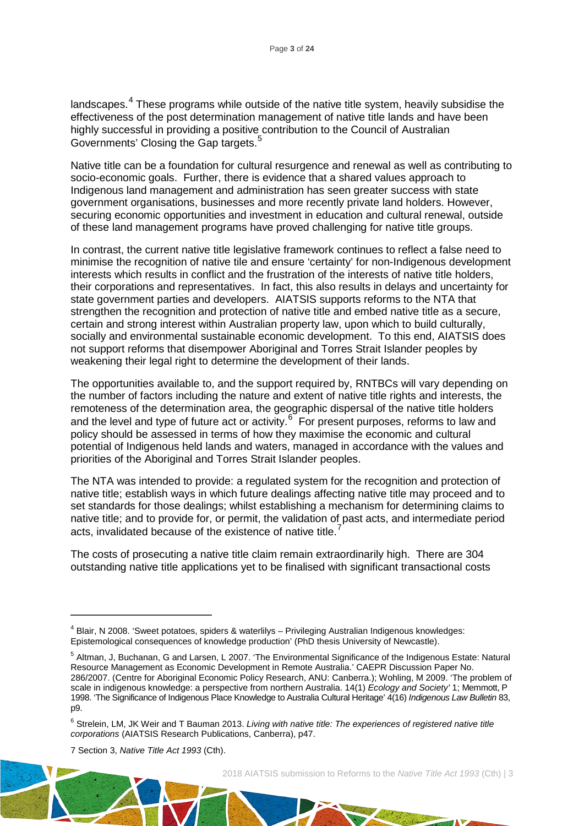landscapes.<sup>[4](#page-3-0)</sup> These programs while outside of the native title system, heavily subsidise the effectiveness of the post determination management of native title lands and have been highly successful in providing a positive contribution to the Council of Australian Governments' Closing the Gap targets.<sup>[5](#page-3-1)</sup>

Native title can be a foundation for cultural resurgence and renewal as well as contributing to socio-economic goals. Further, there is evidence that a shared values approach to Indigenous land management and administration has seen greater success with state government organisations, businesses and more recently private land holders. However, securing economic opportunities and investment in education and cultural renewal, outside of these land management programs have proved challenging for native title groups.

In contrast, the current native title legislative framework continues to reflect a false need to minimise the recognition of native tile and ensure 'certainty' for non-Indigenous development interests which results in conflict and the frustration of the interests of native title holders, their corporations and representatives. In fact, this also results in delays and uncertainty for state government parties and developers. AIATSIS supports reforms to the NTA that strengthen the recognition and protection of native title and embed native title as a secure, certain and strong interest within Australian property law, upon which to build culturally, socially and environmental sustainable economic development. To this end, AIATSIS does not support reforms that disempower Aboriginal and Torres Strait Islander peoples by weakening their legal right to determine the development of their lands.

The opportunities available to, and the support required by, RNTBCs will vary depending on the number of factors including the nature and extent of native title rights and interests, the remoteness of the determination area, the geographic dispersal of the native title holders and the level and type of future act or activity.<sup>[6](#page-3-2)</sup> For present purposes, reforms to law and policy should be assessed in terms of how they maximise the economic and cultural potential of Indigenous held lands and waters, managed in accordance with the values and priorities of the Aboriginal and Torres Strait Islander peoples.

The NTA was intended to provide: a regulated system for the recognition and protection of native title; establish ways in which future dealings affecting native title may proceed and to set standards for those dealings; whilst establishing a mechanism for determining claims to native title; and to provide for, or permit, the validation of past acts, and intermediate period acts, invalidated because of the existence of native title.<sup>[7](#page-3-3)</sup>

The costs of prosecuting a native title claim remain extraordinarily high. There are 304 outstanding native title applications yet to be finalised with significant transactional costs

<span id="page-3-3"></span>7 Section 3, *Native Title Act 1993* (Cth).

 $\overline{a}$ 

<span id="page-3-0"></span><sup>4</sup> Blair, N 2008. 'Sweet potatoes, spiders & waterlilys – Privileging Australian Indigenous knowledges: Epistemological consequences of knowledge production' (PhD thesis University of Newcastle).

<span id="page-3-1"></span><sup>5</sup> Altman, J, Buchanan, G and Larsen, L 2007. 'The Environmental Significance of the Indigenous Estate: Natural Resource Management as Economic Development in Remote Australia.' CAEPR Discussion Paper No. 286/2007. (Centre for Aboriginal Economic Policy Research, ANU: Canberra.); Wohling, M 2009. 'The problem of scale in indigenous knowledge: a perspective from northern Australia. 14(1) *Ecology and Society'* 1; Memmott, P 1998. 'The Significance of Indigenous Place Knowledge to Australia Cultural Heritage' 4(16) *Indigenous Law Bulletin* 83, p9.

<span id="page-3-2"></span><sup>6</sup> Strelein, LM, JK Weir and T Bauman 2013. *Living with native title: The experiences of registered native title corporations* (AIATSIS Research Publications, Canberra), p47.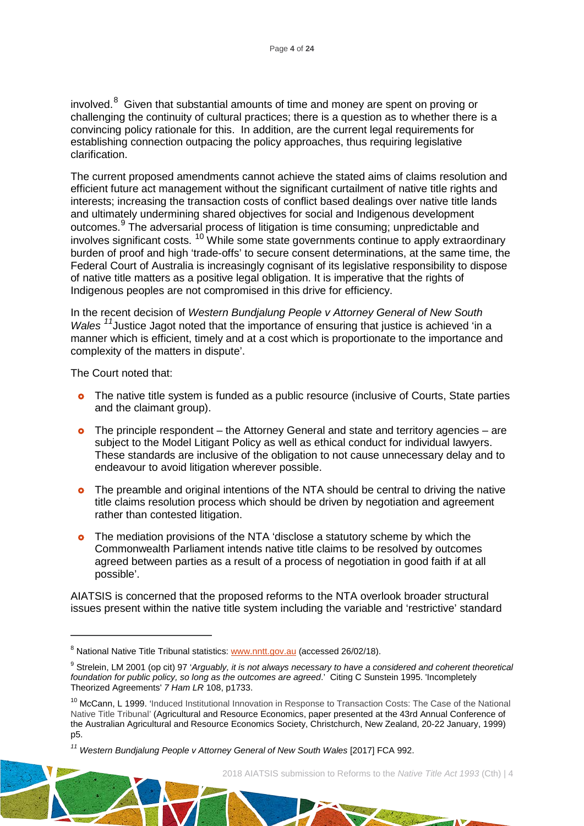involved.<sup>[8](#page-4-0)</sup> Given that substantial amounts of time and money are spent on proving or challenging the continuity of cultural practices; there is a question as to whether there is a convincing policy rationale for this. In addition, are the current legal requirements for establishing connection outpacing the policy approaches, thus requiring legislative clarification.

The current proposed amendments cannot achieve the stated aims of claims resolution and efficient future act management without the significant curtailment of native title rights and interests; increasing the transaction costs of conflict based dealings over native title lands and ultimately undermining shared objectives for social and Indigenous development outcomes.<sup>[9](#page-4-1)</sup> The adversarial process of litigation is time consuming; unpredictable and involves significant costs. [10](#page-4-2) While some state governments continue to apply extraordinary burden of proof and high 'trade-offs' to secure consent determinations, at the same time, the Federal Court of Australia is increasingly cognisant of its legislative responsibility to dispose of native title matters as a positive legal obligation. It is imperative that the rights of Indigenous peoples are not compromised in this drive for efficiency.

In the recent decision of *Western Bundjalung People v Attorney General of New South Wales* <sup>[11](#page-4-3)</sup>Justice Jagot noted that the importance of ensuring that justice is achieved 'in a manner which is efficient, timely and at a cost which is proportionate to the importance and complexity of the matters in dispute'.

The Court noted that:

 $\overline{a}$ 

- **o** The native title system is funded as a public resource (inclusive of Courts, State parties and the claimant group).
- **o** The principle respondent the Attorney General and state and territory agencies are subject to the Model Litigant Policy as well as ethical conduct for individual lawyers. These standards are inclusive of the obligation to not cause unnecessary delay and to endeavour to avoid litigation wherever possible.
- **o** The preamble and original intentions of the NTA should be central to driving the native title claims resolution process which should be driven by negotiation and agreement rather than contested litigation.
- **o** The mediation provisions of the NTA 'disclose a statutory scheme by which the Commonwealth Parliament intends native title claims to be resolved by outcomes agreed between parties as a result of a process of negotiation in good faith if at all possible'.

AIATSIS is concerned that the proposed reforms to the NTA overlook broader structural issues present within the native title system including the variable and 'restrictive' standard

<span id="page-4-0"></span><sup>&</sup>lt;sup>8</sup> National Native Title Tribunal statistics[: www.nntt.gov.au](http://www.nntt.gov.au/) (accessed 26/02/18).

<span id="page-4-1"></span><sup>&</sup>lt;sup>9</sup> Strelein, LM 2001 (op cit) 97 'Arguably, it is not always necessary to have a considered and coherent theoretical *foundation for public policy, so long as the outcomes are agreed*.' Citing C Sunstein 1995. 'Incompletely Theorized Agreements' *7 Ham LR* 108, p1733.

<span id="page-4-2"></span><sup>&</sup>lt;sup>10</sup> McCann, L 1999. 'Induced Institutional Innovation in Response to Transaction Costs: The Case of the National Native Title Tribunal' (Agricultural and Resource Economics, paper presented at the 43rd Annual Conference of the Australian Agricultural and Resource Economics Society, Christchurch, New Zealand, 20-22 January, 1999) p5.

<span id="page-4-3"></span>*<sup>11</sup> Western Bundjalung People v Attorney General of New South Wales* [2017] FCA 992.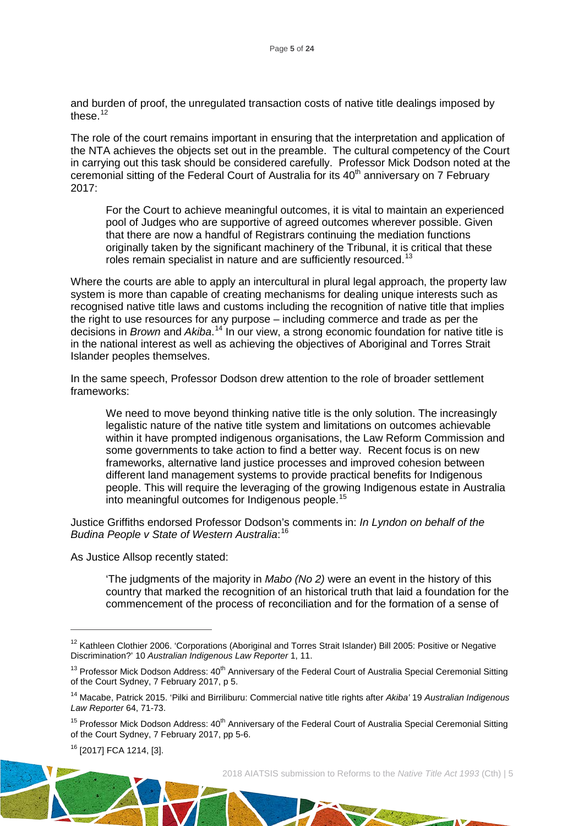and burden of proof, the unregulated transaction costs of native title dealings imposed by these.<sup>[12](#page-5-0)</sup>

The role of the court remains important in ensuring that the interpretation and application of the NTA achieves the objects set out in the preamble. The cultural competency of the Court in carrying out this task should be considered carefully. Professor Mick Dodson noted at the ceremonial sitting of the Federal Court of Australia for its 40<sup>th</sup> anniversary on 7 February 2017:

For the Court to achieve meaningful outcomes, it is vital to maintain an experienced pool of Judges who are supportive of agreed outcomes wherever possible. Given that there are now a handful of Registrars continuing the mediation functions originally taken by the significant machinery of the Tribunal, it is critical that these roles remain specialist in nature and are sufficiently resourced.<sup>[13](#page-5-1)</sup>

Where the courts are able to apply an intercultural in plural legal approach, the property law system is more than capable of creating mechanisms for dealing unique interests such as recognised native title laws and customs including the recognition of native title that implies the right to use resources for any purpose – including commerce and trade as per the decisions in *Brown* and *Akiba*. [14](#page-5-2) In our view, a strong economic foundation for native title is in the national interest as well as achieving the objectives of Aboriginal and Torres Strait Islander peoples themselves.

In the same speech, Professor Dodson drew attention to the role of broader settlement frameworks:

We need to move beyond thinking native title is the only solution. The increasingly legalistic nature of the native title system and limitations on outcomes achievable within it have prompted indigenous organisations, the Law Reform Commission and some governments to take action to find a better way. Recent focus is on new frameworks, alternative land justice processes and improved cohesion between different land management systems to provide practical benefits for Indigenous people. This will require the leveraging of the growing Indigenous estate in Australia into meaningful outcomes for Indigenous people.[15](#page-5-3)

Justice Griffiths endorsed Professor Dodson's comments in: *In Lyndon on behalf of the Budina People v State of Western Australia*: [16](#page-5-4)

As Justice Allsop recently stated:

'The judgments of the majority in *Mabo (No 2)* were an event in the history of this country that marked the recognition of an historical truth that laid a foundation for the commencement of the process of reconciliation and for the formation of a sense of

<span id="page-5-4"></span><sup>16</sup> [2017] FCA 1214, [3].

 $\overline{a}$ 

2018 AIATSIS submission to Reforms to the *Native Title Act 1993* (Cth) | 5

194 of 2010

<span id="page-5-0"></span><sup>&</sup>lt;sup>12</sup> Kathleen Clothier 2006. 'Corporations (Aboriginal and Torres Strait Islander) Bill 2005: Positive or Negative Discrimination?' 10 *Australian Indigenous Law Reporter* 1, 11.

<span id="page-5-1"></span> $13$  Professor Mick Dodson Address:  $40<sup>th</sup>$  Anniversary of the Federal Court of Australia Special Ceremonial Sitting of the Court Sydney, 7 February 2017, p 5.

<span id="page-5-2"></span><sup>14</sup> Macabe, Patrick 2015. 'Pilki and Birriliburu: Commercial native title rights after *Akiba'* 19 *Australian Indigenous Law Reporter* 64, 71-73.

<span id="page-5-3"></span> $15$  Professor Mick Dodson Address:  $40<sup>th</sup>$  Anniversary of the Federal Court of Australia Special Ceremonial Sitting of the Court Sydney, 7 February 2017, pp 5-6.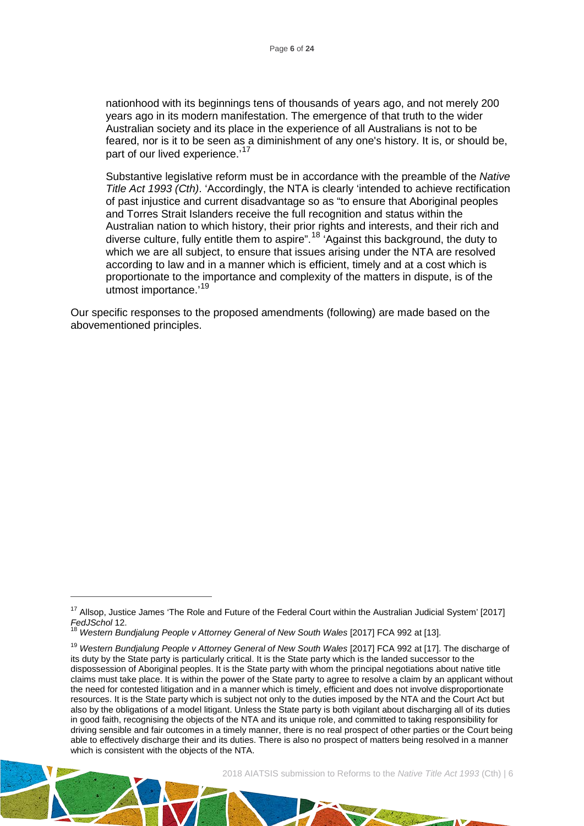nationhood with its beginnings tens of thousands of years ago, and not merely 200 years ago in its modern manifestation. The emergence of that truth to the wider Australian society and its place in the experience of all Australians is not to be feared, nor is it to be seen as a diminishment of any one's history. It is, or should be, part of our lived experience.'<sup>[17](#page-6-0)</sup>

Substantive legislative reform must be in accordance with the preamble of the *Native Title Act 1993 (Cth)*. 'Accordingly, the NTA is clearly 'intended to achieve rectification of past injustice and current disadvantage so as "to ensure that Aboriginal peoples and Torres Strait Islanders receive the full recognition and status within the Australian nation to which history, their prior rights and interests, and their rich and diverse culture, fully entitle them to aspire".<sup>[18](#page-6-1)</sup> 'Against this background, the duty to which we are all subject, to ensure that issues arising under the NTA are resolved according to law and in a manner which is efficient, timely and at a cost which is proportionate to the importance and complexity of the matters in dispute, is of the utmost importance.'[19](#page-6-2)

Our specific responses to the proposed amendments (following) are made based on the abovementioned principles.

 $\overline{a}$ 

<span id="page-6-0"></span><sup>&</sup>lt;sup>17</sup> Allsop, Justice James 'The Role and Future of the Federal Court within the Australian Judicial System' [2017]<br>FedJSchol 12.<br><sup>18</sup> Mestern Rundiskups Reache u. Attenue Openent 1994.

*Feddra Bundialung People v Attorney General of New South Wales [2017] FCA 992 at [13].* 

<span id="page-6-2"></span><span id="page-6-1"></span><sup>&</sup>lt;sup>19</sup> Western Bundjalung People v Attorney General of New South Wales [2017] FCA 992 at [17]. The discharge of its duty by the State party is particularly critical. It is the State party which is the landed successor to the dispossession of Aboriginal peoples. It is the State party with whom the principal negotiations about native title claims must take place. It is within the power of the State party to agree to resolve a claim by an applicant without the need for contested litigation and in a manner which is timely, efficient and does not involve disproportionate resources. It is the State party which is subject not only to the duties imposed by the NTA and the Court Act but also by the obligations of a model litigant. Unless the State party is both vigilant about discharging all of its duties in good faith, recognising the objects of the NTA and its unique role, and committed to taking responsibility for driving sensible and fair outcomes in a timely manner, there is no real prospect of other parties or the Court being able to effectively discharge their and its duties. There is also no prospect of matters being resolved in a manner which is consistent with the objects of the NTA.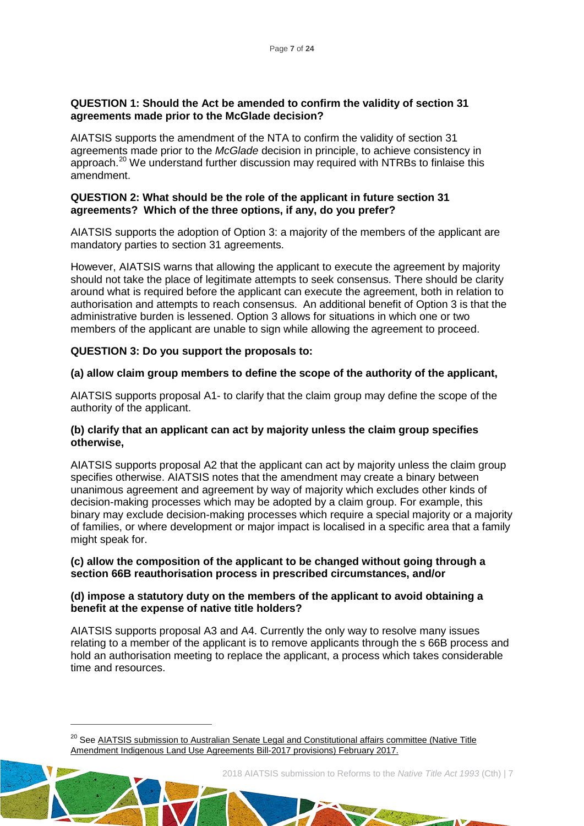#### **QUESTION 1: Should the Act be amended to confirm the validity of section 31 agreements made prior to the McGlade decision?**

AIATSIS supports the amendment of the NTA to confirm the validity of section 31 agreements made prior to the *McGlade* decision in principle, to achieve consistency in approach.[20](#page-7-0) We understand further discussion may required with NTRBs to finlaise this amendment.

#### **QUESTION 2: What should be the role of the applicant in future section 31 agreements? Which of the three options, if any, do you prefer?**

AIATSIS supports the adoption of Option 3: a majority of the members of the applicant are mandatory parties to section 31 agreements.

However, AIATSIS warns that allowing the applicant to execute the agreement by majority should not take the place of legitimate attempts to seek consensus. There should be clarity around what is required before the applicant can execute the agreement, both in relation to authorisation and attempts to reach consensus. An additional benefit of Option 3 is that the administrative burden is lessened. Option 3 allows for situations in which one or two members of the applicant are unable to sign while allowing the agreement to proceed.

# **QUESTION 3: Do you support the proposals to:**

 $\overline{a}$ 

#### **(a) allow claim group members to define the scope of the authority of the applicant,**

AIATSIS supports proposal A1- to clarify that the claim group may define the scope of the authority of the applicant.

#### **(b) clarify that an applicant can act by majority unless the claim group specifies otherwise,**

AIATSIS supports proposal A2 that the applicant can act by majority unless the claim group specifies otherwise. AIATSIS notes that the amendment may create a binary between unanimous agreement and agreement by way of majority which excludes other kinds of decision-making processes which may be adopted by a claim group. For example, this binary may exclude decision-making processes which require a special majority or a majority of families, or where development or major impact is localised in a specific area that a family might speak for.

#### **(c) allow the composition of the applicant to be changed without going through a section 66B reauthorisation process in prescribed circumstances, and/or**

#### **(d) impose a statutory duty on the members of the applicant to avoid obtaining a benefit at the expense of native title holders?**

AIATSIS supports proposal A3 and A4. Currently the only way to resolve many issues relating to a member of the applicant is to remove applicants through the s 66B process and hold an authorisation meeting to replace the applicant, a process which takes considerable time and resources.

2018 AIATSIS submission to Reforms to the *Native Title Act 1993* (Cth) | 7

Late of the der

<span id="page-7-0"></span><sup>&</sup>lt;sup>20</sup> See AIATSIS submission to Australian Senate Legal and Constitutional affairs committee (Native Title [Amendment Indigenous Land Use Agreements Bill-2017 provisions\) February 2017.](https://aiatsis.gov.au/sites/default/files/products/submission/aiatsis_submission_-_nta_amendments_feb_2017_0.pdf)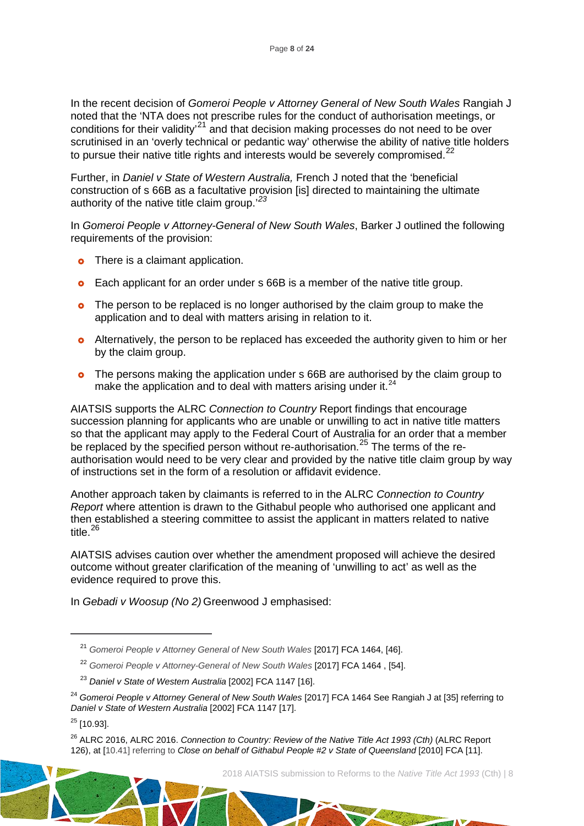In the recent decision of *[Gomeroi People v Attorney General of New South Wales](http://www.austlii.edu.au/cgi-bin/viewdoc/au/cases/cth/FCA/2017/1464.html)* Rangiah J noted that the 'NTA does not prescribe rules for the conduct of authorisation meetings, or conditions for their validity<sup>[21](#page-8-0)</sup> and that decision making processes do not need to be over scrutinised in an 'overly technical or pedantic way' otherwise the ability of native title holders to pursue their native title rights and interests would be severely compromised.<sup>[22](#page-8-1)</sup>

Further, in *Daniel v State of Western Australia,* French J noted that the 'beneficial construction of s 66B as a facultative provision [is] directed to maintaining the ultimate authority of the native title claim group.' *[23](#page-8-2)*

In *Gomeroi People v Attorney-General of New South Wales*, Barker J outlined the following requirements of the provision:

- **o** There is a claimant application.
- **o** Each applicant for an order under s 66B is a member of the native title group.
- **o** The person to be replaced is no longer authorised by the claim group to make the application and to deal with matters arising in relation to it.
- **o** Alternatively, the person to be replaced has exceeded the authority given to him or her by the claim group.
- **o** The persons making the application under s 66B are authorised by the claim group to make the application and to deal with matters arising under it. $^{24}$  $^{24}$  $^{24}$

AIATSIS supports the ALRC *Connection to Country* Report findings that encourage succession planning for applicants who are unable or unwilling to act in native title matters so that the applicant may apply to the Federal Court of Australia for an order that a member be replaced by the specified person without re-authorisation.<sup>[25](#page-8-4)</sup> The terms of the reauthorisation would need to be very clear and provided by the native title claim group by way of instructions set in the form of a resolution or affidavit evidence.

Another approach taken by claimants is referred to in the ALRC *Connection to Country Report* where attention is drawn to the Githabul people who authorised one applicant and then established a steering committee to assist the applicant in matters related to native title. [26](#page-8-5)

AIATSIS advises caution over whether the amendment proposed will achieve the desired outcome without greater clarification of the meaning of 'unwilling to act' as well as the evidence required to prove this.

In *[Gebadi v Woosup \(No 2\)](https://www.austlii.edu.au/cgi-bin/viewdoc/au/cases/cth/FCA/2017/1467.html)* Greenwood J emphasised:

<span id="page-8-0"></span> $\overline{a}$ 

Land of the first

<sup>&</sup>lt;sup>21</sup> [Gomeroi People v Attorney General of New South Wales](http://www.austlii.edu.au/cgi-bin/viewdoc/au/cases/cth/FCA/2017/1464.html) [2017] FCA 1464, [46].

<sup>22</sup> *Gomeroi People v Attorney-General of New South Wales* [2017] FCA 1464 , [54].

<sup>23</sup> *Daniel v State of Western Australia* [2002] FCA 1147 [16].

<span id="page-8-3"></span><span id="page-8-2"></span><span id="page-8-1"></span><sup>24</sup> *[Gomeroi People v Attorney General of New South Wales](http://www.austlii.edu.au/cgi-bin/viewdoc/au/cases/cth/FCA/2017/1464.html)* [2017] FCA 1464 See Rangiah J at [35] referring to *Daniel v State of Western Australia* [2002] FCA 1147 [17].

<span id="page-8-4"></span> $25$  [10.93].

<span id="page-8-5"></span><sup>&</sup>lt;sup>26</sup> ALRC 2016, ALRC 2016. *Connection to Country: Review of the Native Title Act 1993 (Cth)* (ALRC Report [126\),](https://www.alrc.gov.au/publications/native-title-and-land-justice) at [10.41] referring to *Close on behalf of Githabul People #2 v State of Queensland* [2010] FCA [11].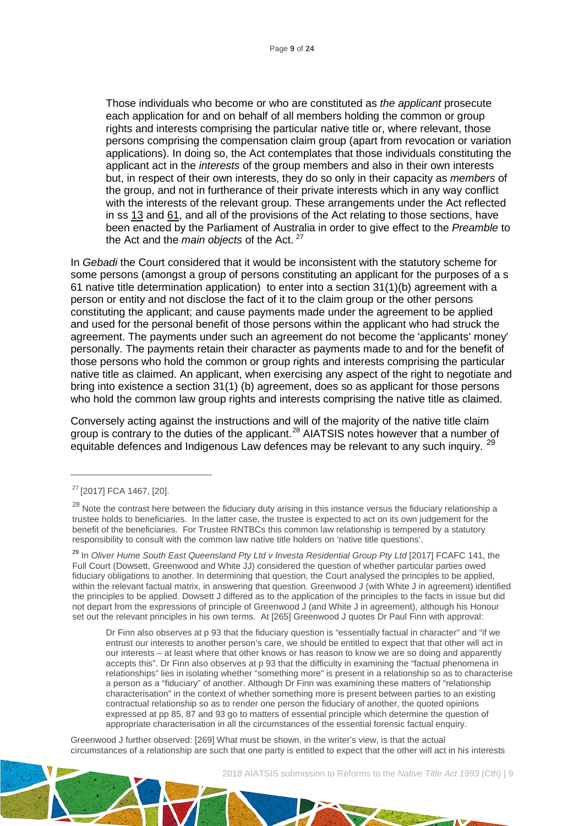Those individuals who become or who are constituted as *the applicant* prosecute each application for and on behalf of all members holding the common or group rights and interests comprising the particular native title or, where relevant, those persons comprising the compensation claim group (apart from revocation or variation applications). In doing so, the Act contemplates that those individuals constituting the applicant act in the *interests* of the group members and also in their own interests but, in respect of their own interests, they do so only in their capacity as *members* of the group, and not in furtherance of their private interests which in any way conflict with the interests of the relevant group. These arrangements under the Act reflected in ss [13](http://www8.austlii.edu.au/cgi-bin/viewdoc/au/legis/cth/consol_act/nta1993147/s13.html) and [61,](http://www8.austlii.edu.au/cgi-bin/viewdoc/au/legis/cth/consol_act/nta1993147/s61.html) and all of the provisions of the Act relating to those sections, have been enacted by the Parliament of Australia in order to give effect to the *Preamble* to the Act and the *main objects* of the Act. [27](#page-9-0)

In *Gebadi* the Court considered that it would be inconsistent with the statutory scheme for some persons (amongst a group of persons constituting an applicant for the purposes of a s 61 native title determination application) to enter into a section 31(1)(b) agreement with a person or entity and not disclose the fact of it to the claim group or the other persons constituting the applicant; and cause payments made under the agreement to be applied and used for the personal benefit of those persons within the applicant who had struck the agreement. The payments under such an agreement do not become the 'applicants' money' personally. The payments retain their character as payments made to and for the benefit of those persons who hold the common or group rights and interests comprising the particular native title as claimed. An applicant, when exercising any aspect of the right to negotiate and bring into existence a section 31(1) (b) agreement, does so as applicant for those persons who hold the common law group rights and interests comprising the native title as claimed.

Conversely acting against the instructions and will of the majority of the native title claim group is contrary to the duties of the applicant.<sup>[28](#page-9-1)</sup> AIATSIS notes however that a number of equitable defences and Indigenous Law defences may be relevant to any such inquiry. <sup>[29](#page-9-2)</sup>

 $\overline{a}$ 

Greenwood J further observed: [269] What must be shown, in the writer's view, is that the actual circumstances of a relationship are such that one party is entitled to expect that the other will act in his interests



<span id="page-9-0"></span><sup>27</sup> [2017] FCA 1467, [20].

<span id="page-9-1"></span> $28$  Note the contrast here between the fiduciary duty arising in this instance versus the fiduciary relationship a trustee holds to beneficiaries. In the latter case, the trustee is expected to act on its own judgement for the benefit of the beneficiaries. For Trustee RNTBCs this common law relationship is tempered by a statutory responsibility to consult with the common law native title holders on 'native title questions'.

<span id="page-9-2"></span><sup>29</sup> In *[Oliver Hume South East Queensland Pty Ltd v Investa Residential Group Pty Ltd](https://www.austlii.edu.au/cgi-bin/viewdoc/au/cases/cth/FCAFC/2017/141.html)* [\[2017\] FCAFC 141,](https://www.austlii.edu.au/cgi-bin/viewdoc/au/cases/cth/FCAFC/2017/141.html) the Full Court (Dowsett, Greenwood and White JJ) considered the question of whether particular parties owed fiduciary obligations to another. In determining that question, the Court analysed the principles to be applied, within the relevant factual matrix, in answering that question. Greenwood J (with White J in agreement) identified the principles to be applied. Dowsett J differed as to the application of the principles to the facts in issue but did not depart from the expressions of principle of Greenwood J (and White J in agreement), although his Honour set out the relevant principles in his own terms. At [265] Greenwood J quotes Dr Paul Finn with approval:

Dr Finn also observes at p 93 that the fiduciary question is "essentially factual in character" and "if we entrust our interests to another person's care, we should be entitled to expect that that other will act in our interests – at least where that other knows or has reason to know we are so doing and apparently accepts this". Dr Finn also observes at p 93 that the difficulty in examining the "factual phenomena in relationships" lies in isolating whether "something more" is present in a relationship so as to characterise a person as a "fiduciary" of another. Although Dr Finn was examining these matters of "relationship characterisation" in the context of whether something more is present between parties to an existing contractual relationship so as to render one person the fiduciary of another, the quoted opinions expressed at pp 85, 87 and 93 go to matters of essential principle which determine the question of appropriate characterisation in all the circumstances of the essential forensic factual enquiry.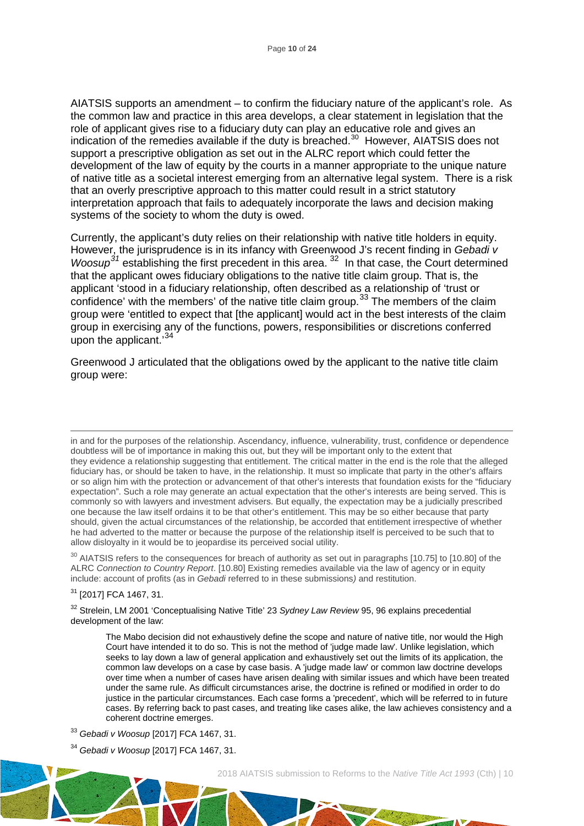AIATSIS supports an amendment – to confirm the fiduciary nature of the applicant's role. As the common law and practice in this area develops, a clear statement in legislation that the role of applicant gives rise to a fiduciary duty can play an educative role and gives an indication of the remedies available if the duty is breached. [30](#page-10-0) However, AIATSIS does not support a prescriptive obligation as set out in the ALRC report which could fetter the development of the law of equity by the courts in a manner appropriate to the unique nature of native title as a societal interest emerging from an alternative legal system. There is a risk that an overly prescriptive approach to this matter could result in a strict statutory interpretation approach that fails to adequately incorporate the laws and decision making systems of the society to whom the duty is owed.

Currently, the applicant's duty relies on their relationship with native title holders in equity. However, the jurisprudence is in its infancy with Greenwood J's recent finding in *Gebadi v Woosup[31](#page-10-1)* establishing the first precedent in this area. [32](#page-10-2) In that case, the Court determined that the applicant owes fiduciary obligations to the native title claim group. That is, the applicant 'stood in a fiduciary relationship, often described as a relationship of 'trust or confidence' with the members' of the native title claim group.<sup>[33](#page-10-3)</sup> The members of the claim group were 'entitled to expect that [the applicant] would act in the best interests of the claim group in exercising any of the functions, powers, responsibilities or discretions conferred upon the applicant.<sup>[34](#page-10-4)</sup>

Greenwood J articulated that the obligations owed by the applicant to the native title claim group were:

<span id="page-10-0"></span><sup>30</sup> AIATSIS refers to the consequences for breach of authority as set out in paragraphs [10.75] to [10.80] of the ALRC *Connection to Country Report*. [10.80] Existing remedies available via the law of agency or in equity include: account of profits (as in *Gebadi* referred to in these submissions*)* and restitution.

<span id="page-10-1"></span><sup>31</sup> [2017] FCA 1467, 31.

<span id="page-10-2"></span><sup>32</sup> Strelein, LM 2001 'Conceptualising Native Title' 23 *Sydney Law Review* 95, 96 explains precedential development of the law:

The Mabo decision did not exhaustively define the scope and nature of native title, nor would the High Court have intended it to do so. This is not the method of 'judge made law'. Unlike legislation, which seeks to lay down a law of general application and exhaustively set out the limits of its application, the common law develops on a case by case basis. A 'judge made law' or common law doctrine develops over time when a number of cases have arisen dealing with similar issues and which have been treated under the same rule. As difficult circumstances arise, the doctrine is refined or modified in order to do justice in the particular circumstances. Each case forms a 'precedent', which will be referred to in future cases. By referring back to past cases, and treating like cases alike, the law achieves consistency and a coherent doctrine emerges.

- <span id="page-10-3"></span><sup>33</sup> *Gebadi v Woosup* [2017] FCA 1467, 31.
- <span id="page-10-4"></span><sup>34</sup> *Gebadi v Woosup* [2017] FCA 1467, 31.

in and for the purposes of the relationship. Ascendancy, influence, vulnerability, trust, confidence or dependence doubtless will be of importance in making this out, but they will be important only to the extent that they evidence a relationship suggesting that entitlement. The critical matter in the end is the role that the alleged fiduciary has, or should be taken to have, in the relationship. It must so implicate that party in the other's affairs or so align him with the protection or advancement of that other's interests that foundation exists for the "fiduciary expectation". Such a role may generate an actual expectation that the other's interests are being served. This is commonly so with lawyers and investment advisers. But equally, the expectation may be a judicially prescribed one because the law itself ordains it to be that other's entitlement. This may be so either because that party should, given the actual circumstances of the relationship, be accorded that entitlement irrespective of whether he had adverted to the matter or because the purpose of the relationship itself is perceived to be such that to allow disloyalty in it would be to jeopardise its perceived social utility.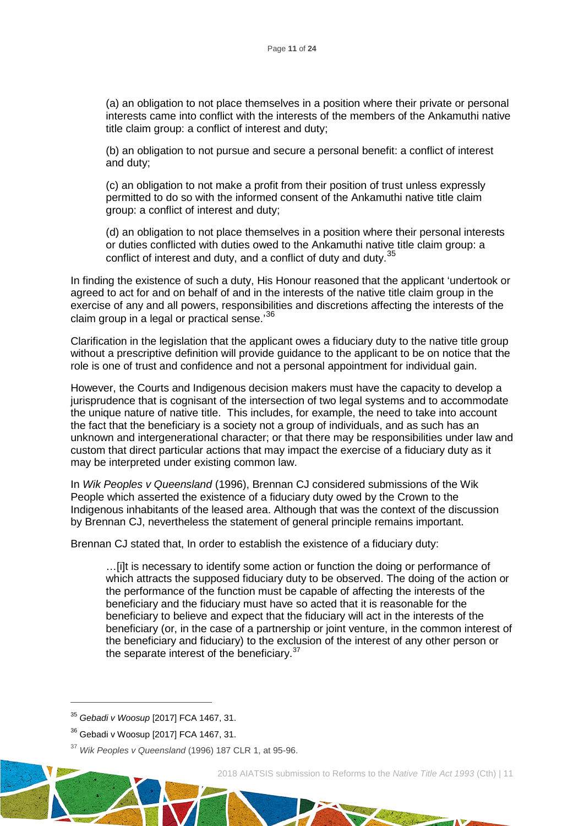(a) an obligation to not place themselves in a position where their private or personal interests came into conflict with the interests of the members of the Ankamuthi native title claim group: a conflict of interest and duty;

(b) an obligation to not pursue and secure a personal benefit: a conflict of interest and duty;

(c) an obligation to not make a profit from their position of trust unless expressly permitted to do so with the informed consent of the Ankamuthi native title claim group: a conflict of interest and duty;

(d) an obligation to not place themselves in a position where their personal interests or duties conflicted with duties owed to the Ankamuthi native title claim group: a conflict of interest and duty, and a conflict of duty and duty.<sup>[35](#page-11-0)</sup>

In finding the existence of such a duty, His Honour reasoned that the applicant 'undertook or agreed to act for and on behalf of and in the interests of the native title claim group in the exercise of any and all powers, responsibilities and discretions affecting the interests of the claim group in a legal or practical sense.'<sup>[36](#page-11-1)</sup>

Clarification in the legislation that the applicant owes a fiduciary duty to the native title group without a prescriptive definition will provide guidance to the applicant to be on notice that the role is one of trust and confidence and not a personal appointment for individual gain.

However, the Courts and Indigenous decision makers must have the capacity to develop a jurisprudence that is cognisant of the intersection of two legal systems and to accommodate the unique nature of native title. This includes, for example, the need to take into account the fact that the beneficiary is a society not a group of individuals, and as such has an unknown and intergenerational character; or that there may be responsibilities under law and custom that direct particular actions that may impact the exercise of a fiduciary duty as it may be interpreted under existing common law.

In *[Wik Peoples v Queensland](https://www.austlii.edu.au/cgi-bin/LawCite?cit=%281996%29%20187%20CLR%201)* (1996), Brennan CJ considered submissions of the Wik People which asserted the existence of a fiduciary duty owed by the Crown to the Indigenous inhabitants of the leased area. Although that was the context of the discussion by Brennan CJ, nevertheless the statement of general principle remains important.

Brennan CJ stated that, In order to establish the existence of a fiduciary duty:

…[i]t is necessary to identify some action or function the doing or performance of which attracts the supposed fiduciary duty to be observed. The doing of the action or the performance of the function must be capable of affecting the interests of the beneficiary and the fiduciary must have so acted that it is reasonable for the beneficiary to believe and expect that the fiduciary will act in the interests of the beneficiary (or, in the case of a partnership or joint venture, in the common interest of the beneficiary and fiduciary) to the exclusion of the interest of any other person or the separate interest of the beneficiary.<sup>[37](#page-11-2)</sup>

 $\overline{a}$ 

<span id="page-11-0"></span><sup>35</sup> *Gebadi v Woosup* [2017] FCA 1467, 31.

<span id="page-11-1"></span><sup>36</sup> Gebadi v Woosup [2017] FCA 1467, 31.

<span id="page-11-2"></span><sup>37</sup> *[Wik Peoples v Queensland](https://www.austlii.edu.au/cgi-bin/LawCite?cit=%281996%29%20187%20CLR%201)* (1996) 187 CLR 1, at 95-96.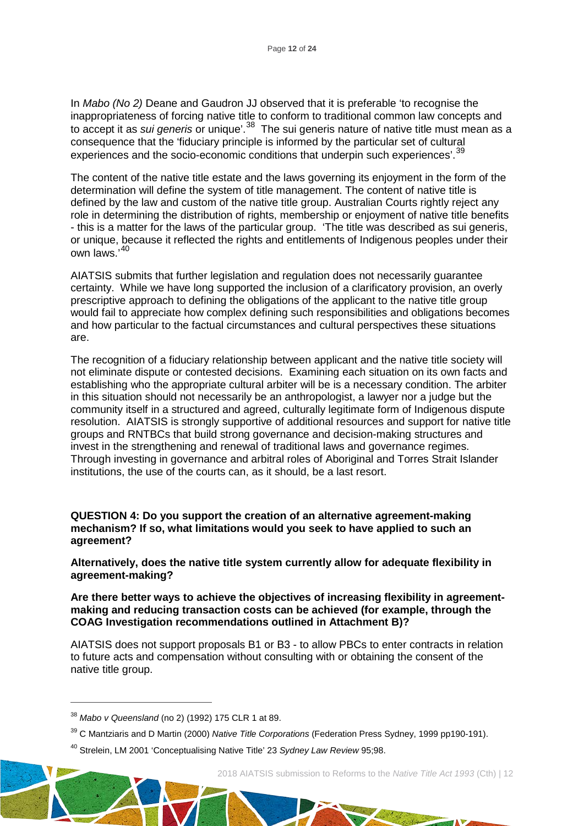In *Mabo (No 2)* Deane and Gaudron JJ observed that it is preferable 'to recognise the inappropriateness of forcing native title to conform to traditional common law concepts and to accept it as *sui generis* or unique'.[38](#page-12-0) The sui generis nature of native title must mean as a consequence that the 'fiduciary principle is informed by the particular set of cultural experiences and the socio-economic conditions that underpin such experiences'.<sup>[39](#page-12-1)</sup>

The content of the native title estate and the laws governing its enjoyment in the form of the determination will define the system of title management. The content of native title is defined by the law and custom of the native title group. Australian Courts rightly reject any role in determining the distribution of rights, membership or enjoyment of native title benefits - this is a matter for the laws of the particular group. 'The title was described as sui generis, or unique, because it reflected the rights and entitlements of Indigenous peoples under their own laws.'[40](#page-12-2)

AIATSIS submits that further legislation and regulation does not necessarily guarantee certainty. While we have long supported the inclusion of a clarificatory provision, an overly prescriptive approach to defining the obligations of the applicant to the native title group would fail to appreciate how complex defining such responsibilities and obligations becomes and how particular to the factual circumstances and cultural perspectives these situations are.

The recognition of a fiduciary relationship between applicant and the native title society will not eliminate dispute or contested decisions. Examining each situation on its own facts and establishing who the appropriate cultural arbiter will be is a necessary condition. The arbiter in this situation should not necessarily be an anthropologist, a lawyer nor a judge but the community itself in a structured and agreed, culturally legitimate form of Indigenous dispute resolution. AIATSIS is strongly supportive of additional resources and support for native title groups and RNTBCs that build strong governance and decision-making structures and invest in the strengthening and renewal of traditional laws and governance regimes. Through investing in governance and arbitral roles of Aboriginal and Torres Strait Islander institutions, the use of the courts can, as it should, be a last resort.

**QUESTION 4: Do you support the creation of an alternative agreement-making mechanism? If so, what limitations would you seek to have applied to such an agreement?** 

**Alternatively, does the native title system currently allow for adequate flexibility in agreement-making?**

**Are there better ways to achieve the objectives of increasing flexibility in agreementmaking and reducing transaction costs can be achieved (for example, through the COAG Investigation recommendations outlined in Attachment B)?** 

AIATSIS does not support proposals B1 or B3 - to allow PBCs to enter contracts in relation to future acts and compensation without consulting with or obtaining the consent of the native title group.

 $\overline{a}$ 

2018 AIATSIS submission to Reforms to the *Native Title Act 1993* (Cth) | 12

and of the day

<span id="page-12-0"></span><sup>38</sup> *Mabo v Queensland* (no 2) (1992) 175 CLR 1 at 89.

<span id="page-12-1"></span><sup>39</sup> C Mantziaris and D Martin (2000) *Native Title Corporations* (Federation Press Sydney, 1999 pp190-191).

<span id="page-12-2"></span><sup>40</sup> Strelein, LM 2001 'Conceptualising Native Title' 23 *Sydney Law Review* 95;98.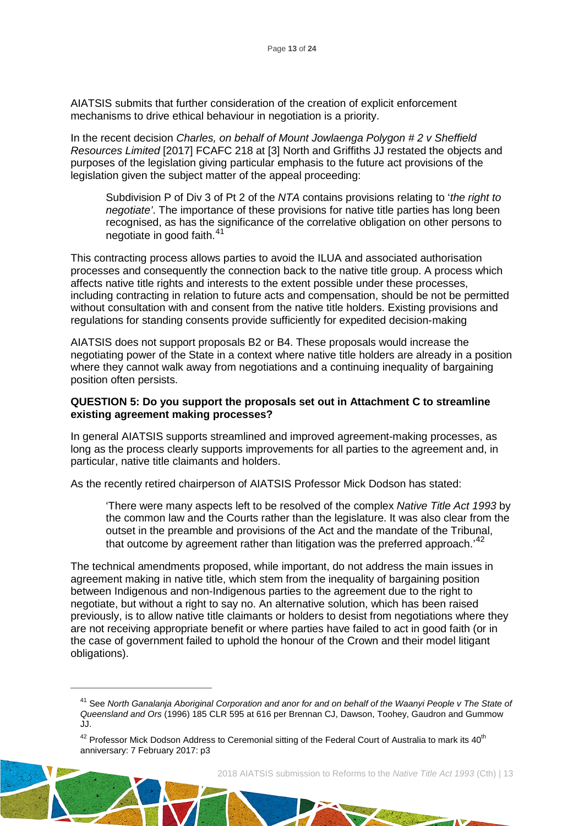AIATSIS submits that further consideration of the creation of explicit enforcement mechanisms to drive ethical behaviour in negotiation is a priority.

In the recent decision *[Charles, on behalf of Mount Jowlaenga Polygon # 2 v Sheffield](http://www.austlii.edu.au/cgi-bin/viewdoc/au/cases/cth/FCAFC/2017/218.html)  [Resources Limited](http://www.austlii.edu.au/cgi-bin/viewdoc/au/cases/cth/FCAFC/2017/218.html)* [2017] FCAFC 218 at [3] North and Griffiths JJ restated the objects and purposes of the legislation giving particular emphasis to the future act provisions of the legislation given the subject matter of the appeal proceeding:

Subdivision P of Div 3 of Pt 2 of the *NTA* contains provisions relating to '*the right to negotiate'*. The importance of these provisions for native title parties has long been recognised, as has the significance of the correlative obligation on other persons to negotiate in good faith.<sup>[41](#page-13-0)</sup>

This contracting process allows parties to avoid the ILUA and associated authorisation processes and consequently the connection back to the native title group. A process which affects native title rights and interests to the extent possible under these processes, including contracting in relation to future acts and compensation, should be not be permitted without consultation with and consent from the native title holders. Existing provisions and regulations for standing consents provide sufficiently for expedited decision-making

AIATSIS does not support proposals B2 or B4. These proposals would increase the negotiating power of the State in a context where native title holders are already in a position where they cannot walk away from negotiations and a continuing inequality of bargaining position often persists.

#### **QUESTION 5: Do you support the proposals set out in Attachment C to streamline existing agreement making processes?**

In general AIATSIS supports streamlined and improved agreement-making processes, as long as the process clearly supports improvements for all parties to the agreement and, in particular, native title claimants and holders.

As the recently retired chairperson of AIATSIS Professor Mick Dodson has stated:

'There were many aspects left to be resolved of the complex *Native Title Act 1993* by the common law and the Courts rather than the legislature. It was also clear from the outset in the preamble and provisions of the Act and the mandate of the Tribunal, that outcome by agreement rather than litigation was the preferred approach.<sup>[42](#page-13-1)</sup>

The technical amendments proposed, while important, do not address the main issues in agreement making in native title, which stem from the inequality of bargaining position between Indigenous and non-Indigenous parties to the agreement due to the right to negotiate, but without a right to say no. An alternative solution, which has been raised previously, is to allow native title claimants or holders to desist from negotiations where they are not receiving appropriate benefit or where parties have failed to act in good faith (or in the case of government failed to uphold the honour of the Crown and their model litigant obligations).

<span id="page-13-0"></span> $\overline{a}$ 

<sup>41</sup> See *North Ganalanja [Aboriginal Corporation and anor for and on behalf of the Waanyi People v The State of](http://www.austlii.edu.au/cgi-bin/viewdoc/au/cases/cth/HCA/1996/2.html)  [Queensland and Ors](http://www.austlii.edu.au/cgi-bin/viewdoc/au/cases/cth/HCA/1996/2.html)* (1996) 185 CLR 595 at 616 per Brennan CJ, Dawson, Toohey, Gaudron and Gummow JJ.

<span id="page-13-1"></span> $42$  Professor Mick Dodson Address to Ceremonial sitting of the Federal Court of Australia to mark its  $40<sup>th</sup>$ anniversary: 7 February 2017: p3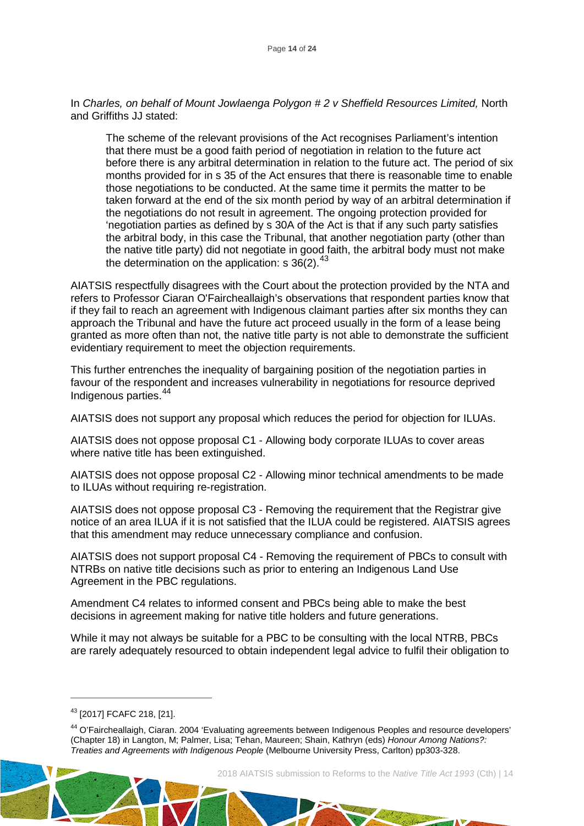In *[Charles, on behalf of Mount Jowlaenga Polygon # 2 v Sheffield Resources Limited,](http://www.austlii.edu.au/cgi-bin/viewdoc/au/cases/cth/FCAFC/2017/218.html)* North and Griffiths JJ stated:

The scheme of the relevant provisions of the Act recognises Parliament's intention that there must be a good faith period of negotiation in relation to the future act before there is any arbitral determination in relation to the future act. The period of six months provided for in s 35 of the Act ensures that there is reasonable time to enable those negotiations to be conducted. At the same time it permits the matter to be taken forward at the end of the six month period by way of an arbitral determination if the negotiations do not result in agreement. The ongoing protection provided for 'negotiation parties as defined by s 30A of the Act is that if any such party satisfies the arbitral body, in this case the Tribunal, that another negotiation party (other than the native title party) did not negotiate in good faith, the arbitral body must not make the determination on the application: s  $36(2).^{43}$  $36(2).^{43}$  $36(2).^{43}$ 

AIATSIS respectfully disagrees with the Court about the protection provided by the NTA and refers to Professor [Ciaran O'Faircheallaigh'](http://theconversation.com/profiles/ciaran-ofaircheallaigh-3597)s observations that respondent parties know that if they fail to reach an agreement with Indigenous claimant parties after six months they can approach the Tribunal and have the future act proceed usually in the form of a lease being granted as more often than not, the native title party is not able to demonstrate the sufficient evidentiary requirement to meet the objection requirements.

This further entrenches the inequality of bargaining position of the negotiation parties in favour of the respondent and increases vulnerability in negotiations for resource deprived Indigenous parties.<sup>[44](#page-14-1)</sup>

AIATSIS does not support any proposal which reduces the period for objection for ILUAs.

AIATSIS does not oppose proposal C1 - Allowing body corporate ILUAs to cover areas where native title has been extinguished.

AIATSIS does not oppose proposal C2 - Allowing minor technical amendments to be made to ILUAs without requiring re-registration.

AIATSIS does not oppose proposal C3 - Removing the requirement that the Registrar give notice of an area ILUA if it is not satisfied that the ILUA could be registered. AIATSIS agrees that this amendment may reduce unnecessary compliance and confusion.

AIATSIS does not support proposal C4 - Removing the requirement of PBCs to consult with NTRBs on native title decisions such as prior to entering an Indigenous Land Use Agreement in the PBC regulations.

Amendment C4 relates to informed consent and PBCs being able to make the best decisions in agreement making for native title holders and future generations.

While it may not always be suitable for a PBC to be consulting with the local NTRB, PBCs are rarely adequately resourced to obtain independent legal advice to fulfil their obligation to

 $\overline{a}$ 

2018 AIATSIS submission to Reforms to the *Native Title Act 1993* (Cth) | 14

Latt of a don't

<span id="page-14-0"></span><sup>43</sup> [2017] FCAFC 218, [21].

<span id="page-14-1"></span><sup>44</sup> O'Faircheallaigh, Ciaran. 2004 'Evaluating agreements between Indigenous Peoples and resource developers' (Chapter 18) in Langton, M; Palmer, Lisa; Tehan, Maureen; Shain, Kathryn (eds) *Honour Among Nations?: Treaties and Agreements with Indigenous People* (Melbourne University Press, Carlton) pp303-328.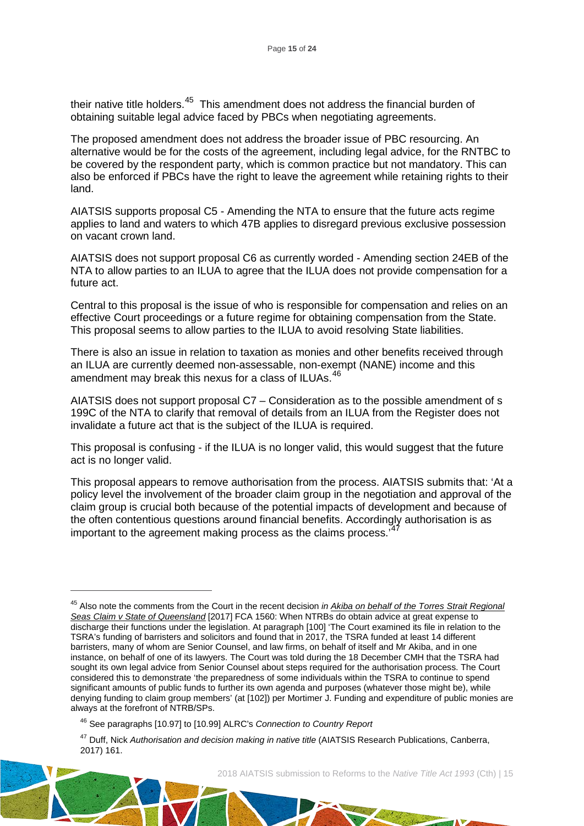their native title holders.<sup>45</sup> This amendment does not address the financial burden of obtaining suitable legal advice faced by PBCs when negotiating agreements.

The proposed amendment does not address the broader issue of PBC resourcing. An alternative would be for the costs of the agreement, including legal advice, for the RNTBC to be covered by the respondent party, which is common practice but not mandatory. This can also be enforced if PBCs have the right to leave the agreement while retaining rights to their land.

AIATSIS supports proposal C5 - Amending the NTA to ensure that the future acts regime applies to land and waters to which 47B applies to disregard previous exclusive possession on vacant crown land.

AIATSIS does not support proposal C6 as currently worded - Amending section 24EB of the NTA to allow parties to an ILUA to agree that the ILUA does not provide compensation for a future act.

Central to this proposal is the issue of who is responsible for compensation and relies on an effective Court proceedings or a future regime for obtaining compensation from the State. This proposal seems to allow parties to the ILUA to avoid resolving State liabilities.

There is also an issue in relation to taxation as monies and other benefits received through an ILUA are currently deemed non-assessable, non-exempt (NANE) income and this amendment may break this nexus for a class of ILUAs.<sup>[46](#page-15-1)</sup>

AIATSIS does not support proposal C7 – Consideration as to the possible amendment of s 199C of the NTA to clarify that removal of details from an ILUA from the Register does not invalidate a future act that is the subject of the ILUA is required.

This proposal is confusing - if the ILUA is no longer valid, this would suggest that the future act is no longer valid.

This proposal appears to remove authorisation from the process. AIATSIS submits that: 'At a policy level the involvement of the broader claim group in the negotiation and approval of the claim group is crucial both because of the potential impacts of development and because of the often contentious questions around financial benefits. Accordingly authorisation is as important to the agreement making process as the claims process.<sup>7[47](#page-15-2)</sup>

 $\overline{a}$ 

<span id="page-15-2"></span><span id="page-15-1"></span><sup>47</sup> Duff, Nick *Authorisation and decision making in native title* (AIATSIS Research Publications, Canberra, 2017) 161.



<span id="page-15-0"></span><sup>45</sup> Also note the comments from the Court in the recent decision *in [Akiba on behalf of the Torres Strait Regional](http://www.austlii.edu.au/cgi-bin/viewdoc/au/cases/cth/FCA/2017/1560.html)  [Seas Claim v State of Queensland](http://www.austlii.edu.au/cgi-bin/viewdoc/au/cases/cth/FCA/2017/1560.html)* [2017] FCA 1560: When NTRBs do obtain advice at great expense to discharge their functions under the legislation. At paragraph [100] 'The Court examined its file in relation to the TSRA's funding of barristers and solicitors and found that in 2017, the TSRA funded at least 14 different barristers, many of whom are Senior Counsel, and law firms, on behalf of itself and Mr Akiba, and in one instance, on behalf of one of its lawyers. The Court was told during the 18 December CMH that the TSRA had sought its own legal advice from Senior Counsel about steps required for the authorisation process. The Court considered this to demonstrate 'the preparedness of some individuals within the TSRA to continue to spend significant amounts of public funds to further its own agenda and purposes (whatever those might be), while denying funding to claim group members' (at [102]) per Mortimer J. Funding and expenditure of public monies are always at the forefront of NTRB/SPs.

<sup>46</sup> See paragraphs [10.97] to [10.99] ALRC's *Connection to Country Report*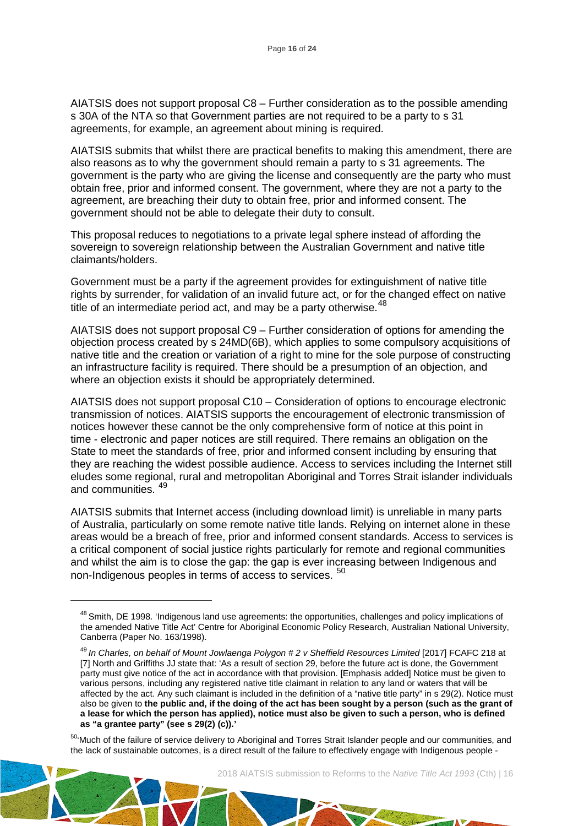AIATSIS does not support proposal C8 – Further consideration as to the possible amending s 30A of the NTA so that Government parties are not required to be a party to s 31 agreements, for example, an agreement about mining is required.

AIATSIS submits that whilst there are practical benefits to making this amendment, there are also reasons as to why the government should remain a party to s 31 agreements. The government is the party who are giving the license and consequently are the party who must obtain free, prior and informed consent. The government, where they are not a party to the agreement, are breaching their duty to obtain free, prior and informed consent. The government should not be able to delegate their duty to consult.

This proposal reduces to negotiations to a private legal sphere instead of affording the sovereign to sovereign relationship between the Australian Government and native title claimants/holders.

Government must be a party if the agreement provides for extinguishment of native title rights by surrender, for validation of an invalid future act, or for the changed effect on native title of an intermediate period act, and may be a party otherwise.  $48$ 

AIATSIS does not support proposal C9 – Further consideration of options for amending the objection process created by s 24MD(6B), which applies to some compulsory acquisitions of native title and the creation or variation of a right to mine for the sole purpose of constructing an infrastructure facility is required. There should be a presumption of an objection, and where an objection exists it should be appropriately determined.

AIATSIS does not support proposal C10 – Consideration of options to encourage electronic transmission of notices. AIATSIS supports the encouragement of electronic transmission of notices however these cannot be the only comprehensive form of notice at this point in time - electronic and paper notices are still required. There remains an obligation on the State to meet the standards of free, prior and informed consent including by ensuring that they are reaching the widest possible audience. Access to services including the Internet still eludes some regional, rural and metropolitan Aboriginal and Torres Strait islander individuals and communities.<sup>[49](#page-16-1)</sup>

AIATSIS submits that Internet access (including download limit) is unreliable in many parts of Australia, particularly on some remote native title lands. Relying on internet alone in these areas would be a breach of free, prior and informed consent standards. Access to services is a critical component of social justice rights particularly for remote and regional communities and whilst the aim is to close the gap: the gap is ever increasing between Indigenous and non-Indigenous peoples in terms of access to services. <sup>[50](#page-16-2)</sup>

<span id="page-16-0"></span> $\overline{a}$ 

<sup>&</sup>lt;sup>48</sup> Smith, DE 1998. 'Indigenous land use agreements: the opportunities, challenges and policy implications of the amended Native Title Act' Centre for Aboriginal Economic Policy Research, Australian National University, Canberra (Paper No. 163/1998).

<span id="page-16-1"></span><sup>49</sup> *In [Charles, on behalf of Mount Jowlaenga Polygon # 2 v Sheffield Resources Limited](http://www.austlii.edu.au/cgi-bin/viewdoc/au/cases/cth/FCAFC/2017/218.html)* [2017] FCAFC 218 at [7] North and Griffiths JJ state that: 'As a result of section 29, before the future act is done, the Government party must give notice of the act in accordance with that provision. [Emphasis added] Notice must be given to various persons, including any registered native title claimant in relation to any land or waters that will be affected by the act. Any such claimant is included in the definition of a "native title party" in s 29(2). Notice must also be given to **the public and, if the doing of the act has been sought by a person (such as the grant of a lease for which the person has applied), notice must also be given to such a person, who is defined as "a grantee party" (see s 29(2) (c)).'**

<span id="page-16-2"></span><sup>50&</sup>lt;sup>t</sup>Much of the failure of service delivery to Aboriginal and Torres Strait Islander people and our communities, and the lack of sustainable outcomes, is a direct result of the failure to effectively engage with Indigenous people -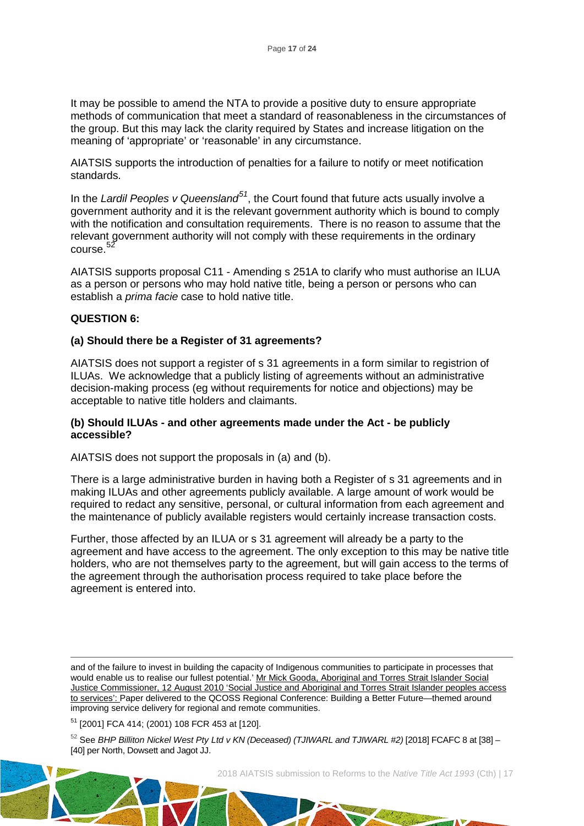It may be possible to amend the NTA to provide a positive duty to ensure appropriate methods of communication that meet a standard of reasonableness in the circumstances of the group. But this may lack the clarity required by States and increase litigation on the meaning of 'appropriate' or 'reasonable' in any circumstance.

AIATSIS supports the introduction of penalties for a failure to notify or meet notification standards.

In the *Lardil Peoples v Queensland[51](#page-17-0)*, the Court found that future acts usually involve a government authority and it is the relevant government authority which is bound to comply with the notification and consultation requirements. There is no reason to assume that the relevant government authority will not comply with these requirements in the ordinary course.<sup>[52](#page-17-1)</sup>

AIATSIS supports proposal C11 - Amending s 251A to clarify who must authorise an ILUA as a person or persons who may hold native title, being a person or persons who can establish a *prima facie* case to hold native title.

# **QUESTION 6:**

#### **(a) Should there be a Register of 31 agreements?**

AIATSIS does not support a register of s 31 agreements in a form similar to registrion of ILUAs. We acknowledge that a publicly listing of agreements without an administrative decision-making process (eg without requirements for notice and objections) may be acceptable to native title holders and claimants.

#### **(b) Should ILUAs - and other agreements made under the Act - be publicly accessible?**

AIATSIS does not support the proposals in (a) and (b).

There is a large administrative burden in having both a Register of s 31 agreements and in making ILUAs and other agreements publicly available. A large amount of work would be required to redact any sensitive, personal, or cultural information from each agreement and the maintenance of publicly available registers would certainly increase transaction costs.

Further, those affected by an ILUA or s 31 agreement will already be a party to the agreement and have access to the agreement. The only exception to this may be native title holders, who are not themselves party to the agreement, but will gain access to the terms of the agreement through the authorisation process required to take place before the agreement is entered into.

 and of the failure to invest in building the capacity of Indigenous communities to participate in processes that would enable us to realise our fullest potential.' Mr Mick Gooda, Aboriginal and Torres Strait Islander Social [Justice Commissioner, 12 August 2010 'Social Justice and Aboriginal and Torres Strait Islander peoples access](https://www.humanrights.gov.au/news/speeches/social-justice-and-aboriginal-and-torres-strait-islander-peoples-access-services-2010)  to services': [Paper delivered to the QCOSS Regional Conference: Building a Better Future—themed around](https://www.humanrights.gov.au/news/speeches/social-justice-and-aboriginal-and-torres-strait-islander-peoples-access-services-2010)  [improving service delivery for regional and remote communities.](https://www.humanrights.gov.au/news/speeches/social-justice-and-aboriginal-and-torres-strait-islander-peoples-access-services-2010)

<span id="page-17-0"></span><sup>51</sup> [2001] FCA 414; (2001) 108 FCR 453 at [120].

<span id="page-17-1"></span><sup>52</sup> See *BHP Billiton Nickel West Pty Ltd v KN (Deceased) (TJIWARL and TJIWARL #2)* [2018] FCAFC 8 at [38] – [40] per North, Dowsett and Jagot JJ.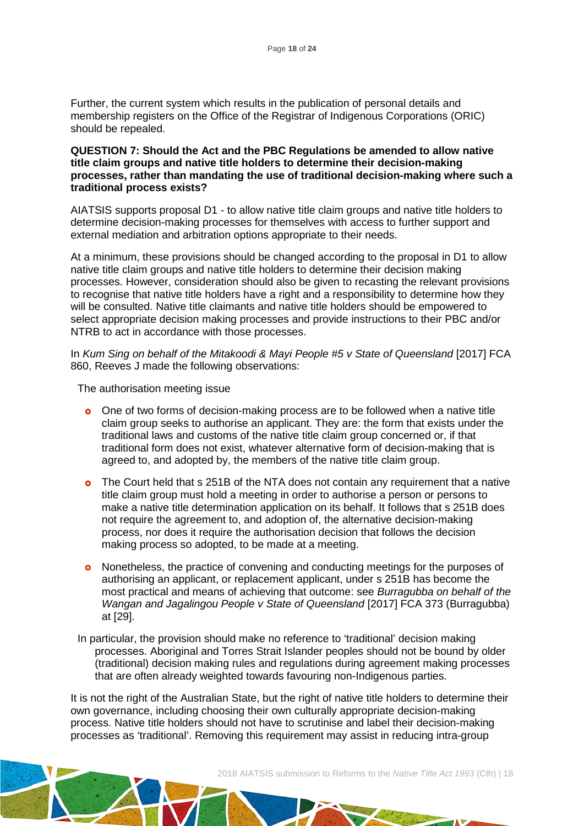Further, the current system which results in the publication of personal details and membership registers on the Office of the Registrar of Indigenous Corporations (ORIC) should be repealed.

#### **QUESTION 7: Should the Act and the PBC Regulations be amended to allow native title claim groups and native title holders to determine their decision-making processes, rather than mandating the use of traditional decision-making where such a traditional process exists?**

AIATSIS supports proposal D1 - to allow native title claim groups and native title holders to determine decision-making processes for themselves with access to further support and external mediation and arbitration options appropriate to their needs.

At a minimum, these provisions should be changed according to the proposal in D1 to allow native title claim groups and native title holders to determine their decision making processes. However, consideration should also be given to recasting the relevant provisions to recognise that native title holders have a right and a responsibility to determine how they will be consulted. Native title claimants and native title holders should be empowered to select appropriate decision making processes and provide instructions to their PBC and/or NTRB to act in accordance with those processes.

In *Kum Sing on behalf of the Mitakoodi & Mayi People #5 v State of Queensland* [2017] FCA 860, Reeves J made the following observations:

The authorisation meeting issue

- **o** One of two forms of decision-making process are to be followed when a native title claim group seeks to authorise an applicant. They are: the form that exists under the traditional laws and customs of the native title claim group concerned or, if that traditional form does not exist, whatever alternative form of decision-making that is agreed to, and adopted by, the members of the native title claim group.
- The Court held that s 251B of the NTA does not contain any requirement that a native title claim group must hold a meeting in order to authorise a person or persons to make a native title determination application on its behalf. It follows that s 251B does not require the agreement to, and adoption of, the alternative decision-making process, nor does it require the authorisation decision that follows the decision making process so adopted, to be made at a meeting.
- Nonetheless, the practice of convening and conducting meetings for the purposes of authorising an applicant, or replacement applicant, under s 251B has become the most practical and means of achieving that outcome: see *Burragubba on behalf of the Wangan and Jagalingou People v State of Queensland* [2017] FCA 373 (Burragubba) at [29].
- In particular, the provision should make no reference to 'traditional' decision making processes. Aboriginal and Torres Strait Islander peoples should not be bound by older (traditional) decision making rules and regulations during agreement making processes that are often already weighted towards favouring non-Indigenous parties.

It is not the right of the Australian State, but the right of native title holders to determine their own governance, including choosing their own culturally appropriate decision-making process. Native title holders should not have to scrutinise and label their decision-making processes as 'traditional'. Removing this requirement may assist in reducing intra-group

```
2018 AIATSIS submission to Reforms to the Native Title Act 1993 (Cth) | 18
```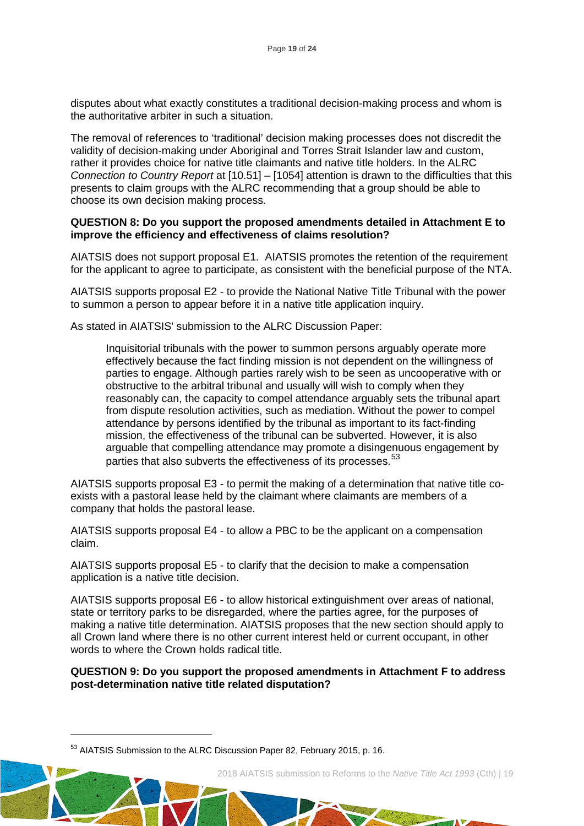disputes about what exactly constitutes a traditional decision-making process and whom is the authoritative arbiter in such a situation.

The removal of references to 'traditional' decision making processes does not discredit the validity of decision-making under Aboriginal and Torres Strait Islander law and custom, rather it provides choice for native title claimants and native title holders. In the ALRC *Connection to Country Report* at [10.51] – [1054] attention is drawn to the difficulties that this presents to claim groups with the ALRC recommending that a group should be able to choose its own decision making process.

#### **QUESTION 8: Do you support the proposed amendments detailed in Attachment E to improve the efficiency and effectiveness of claims resolution?**

AIATSIS does not support proposal E1. AIATSIS promotes the retention of the requirement for the applicant to agree to participate, as consistent with the beneficial purpose of the NTA.

AIATSIS supports proposal E2 - to provide the National Native Title Tribunal with the power to summon a person to appear before it in a native title application inquiry.

As stated in AIATSIS' submission to the ALRC Discussion Paper:

Inquisitorial tribunals with the power to summon persons arguably operate more effectively because the fact finding mission is not dependent on the willingness of parties to engage. Although parties rarely wish to be seen as uncooperative with or obstructive to the arbitral tribunal and usually will wish to comply when they reasonably can, the capacity to compel attendance arguably sets the tribunal apart from dispute resolution activities, such as mediation. Without the power to compel attendance by persons identified by the tribunal as important to its fact-finding mission, the effectiveness of the tribunal can be subverted. However, it is also arguable that compelling attendance may promote a disingenuous engagement by parties that also subverts the effectiveness of its processes.<sup>[53](#page-19-0)</sup>

AIATSIS supports proposal E3 - to permit the making of a determination that native title coexists with a pastoral lease held by the claimant where claimants are members of a company that holds the pastoral lease.

AIATSIS supports proposal E4 - to allow a PBC to be the applicant on a compensation claim.

AIATSIS supports proposal E5 - to clarify that the decision to make a compensation application is a native title decision.

AIATSIS supports proposal E6 - to allow historical extinguishment over areas of national, state or territory parks to be disregarded, where the parties agree, for the purposes of making a native title determination. AIATSIS proposes that the new section should apply to all Crown land where there is no other current interest held or current occupant, in other words to where the Crown holds radical title.

#### **QUESTION 9: Do you support the proposed amendments in Attachment F to address post-determination native title related disputation?**

 $\overline{a}$ 



and of the first

<span id="page-19-0"></span><sup>53</sup> AIATSIS Submission to the ALRC Discussion Paper 82, February 2015, p. 16.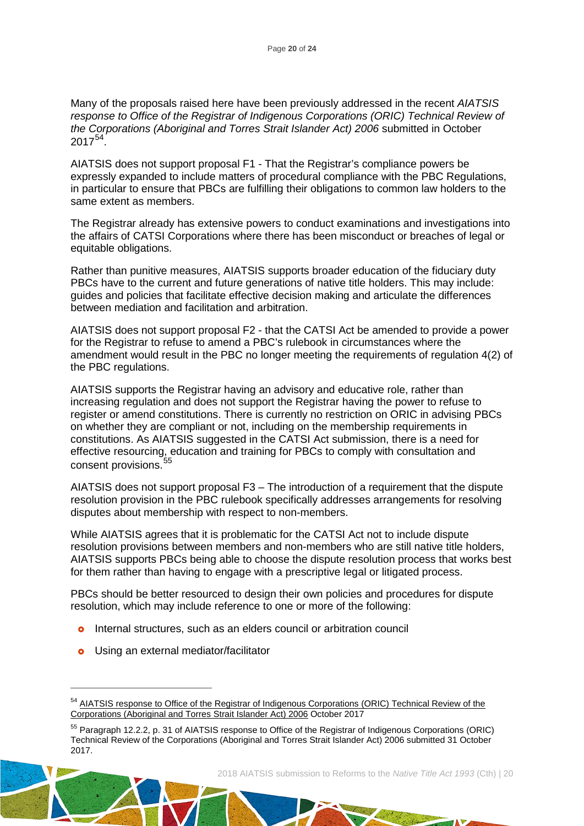Many of the proposals raised here have been previously addressed in the recent *[AIATSIS](http://aiatsis.gov.au/publications/products/aiatsis-response-office-registrar-indigenous-corporations-oric-technical-review-corporations-aboriginal-and-torres-strait-islander-act-2006)  [response to Office of the Registrar of Indigenous Corporations \(ORIC\) Technical Review of](http://aiatsis.gov.au/publications/products/aiatsis-response-office-registrar-indigenous-corporations-oric-technical-review-corporations-aboriginal-and-torres-strait-islander-act-2006)  [the Corporations \(Aboriginal and Torres Strait Islander Act\) 2006](http://aiatsis.gov.au/publications/products/aiatsis-response-office-registrar-indigenous-corporations-oric-technical-review-corporations-aboriginal-and-torres-strait-islander-act-2006)* submitted in October  $2017^{54}$ .

AIATSIS does not support proposal F1 - That the Registrar's compliance powers be expressly expanded to include matters of procedural compliance with the PBC Regulations, in particular to ensure that PBCs are fulfilling their obligations to common law holders to the same extent as members.

The Registrar already has extensive powers to conduct examinations and investigations into the affairs of CATSI Corporations where there has been misconduct or breaches of legal or equitable obligations.

Rather than punitive measures, AIATSIS supports broader education of the fiduciary duty PBCs have to the current and future generations of native title holders. This may include: guides and policies that facilitate effective decision making and articulate the differences between mediation and facilitation and arbitration.

AIATSIS does not support proposal F2 - that the CATSI Act be amended to provide a power for the Registrar to refuse to amend a PBC's rulebook in circumstances where the amendment would result in the PBC no longer meeting the requirements of regulation 4(2) of the PBC regulations.

AIATSIS supports the Registrar having an advisory and educative role, rather than increasing regulation and does not support the Registrar having the power to refuse to register or amend constitutions. There is currently no restriction on ORIC in advising PBCs on whether they are compliant or not, including on the membership requirements in constitutions. As AIATSIS suggested in the CATSI Act submission, there is a need for effective resourcing, education and training for PBCs to comply with consultation and consent provisions.<sup>55</sup>

AIATSIS does not support proposal F3 – The introduction of a requirement that the dispute resolution provision in the PBC rulebook specifically addresses arrangements for resolving disputes about membership with respect to non-members.

While AIATSIS agrees that it is problematic for the CATSI Act not to include dispute resolution provisions between members and non-members who are still native title holders, AIATSIS supports PBCs being able to choose the dispute resolution process that works best for them rather than having to engage with a prescriptive legal or litigated process.

PBCs should be better resourced to design their own policies and procedures for dispute resolution, which may include reference to one or more of the following:

- **o** Internal structures, such as an elders council or arbitration council
- **o** Using an external mediator/facilitator

 $\overline{a}$ 

La State de

<span id="page-20-0"></span><sup>&</sup>lt;sup>54</sup> AIATSIS response to Office of the Registrar of Indigenous Corporations (ORIC) Technical Review of the [Corporations \(Aboriginal and Torres Strait Islander Act\) 2006](http://aiatsis.gov.au/publications/products/aiatsis-response-office-registrar-indigenous-corporations-oric-technical-review-corporations-aboriginal-and-torres-strait-islander-act-2006) October 2017

<span id="page-20-1"></span><sup>55</sup> Paragraph 12.2.2, p. 31 of AIATSIS response to Office of the Registrar of Indigenous Corporations (ORIC) Technical Review of the Corporations (Aboriginal and Torres Strait Islander Act) 2006 submitted 31 October 2017.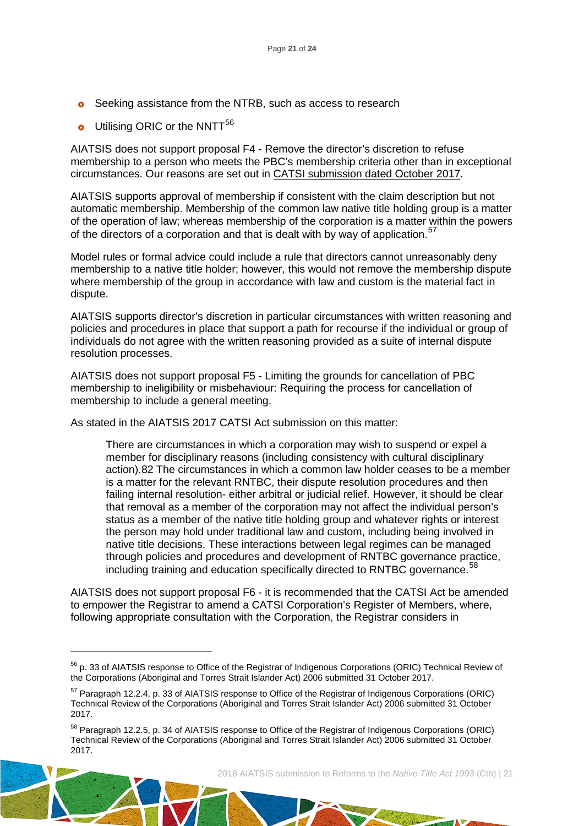- **o** Seeking assistance from the NTRB, such as access to research
- **o** Utilising ORIC or the NNTT<sup>[56](#page-21-0)</sup>

 $\overline{a}$ 

AIATSIS does not support proposal F4 - Remove the director's discretion to refuse membership to a person who meets the PBC's membership criteria other than in exceptional circumstances. Our reasons are set out in CATSI submission [dated October 2017.](https://aiatsis.gov.au/sites/default/files/products/submission/catsi_act_review_171031.pdf)

AIATSIS supports approval of membership if consistent with the claim description but not automatic membership. Membership of the common law native title holding group is a matter of the operation of law; whereas membership of the corporation is a matter within the powers of the directors of a corporation and that is dealt with by way of application.<sup>[57](#page-21-1)</sup>

Model rules or formal advice could include a rule that directors cannot unreasonably deny membership to a native title holder; however, this would not remove the membership dispute where membership of the group in accordance with law and custom is the material fact in dispute.

AIATSIS supports director's discretion in particular circumstances with written reasoning and policies and procedures in place that support a path for recourse if the individual or group of individuals do not agree with the written reasoning provided as a suite of internal dispute resolution processes.

AIATSIS does not support proposal F5 - Limiting the grounds for cancellation of PBC membership to ineligibility or misbehaviour: Requiring the process for cancellation of membership to include a general meeting.

As stated in the AIATSIS 2017 CATSI Act submission on this matter:

There are circumstances in which a corporation may wish to suspend or expel a member for disciplinary reasons (including consistency with cultural disciplinary action).82 The circumstances in which a common law holder ceases to be a member is a matter for the relevant RNTBC, their dispute resolution procedures and then failing internal resolution- either arbitral or judicial relief. However, it should be clear that removal as a member of the corporation may not affect the individual person's status as a member of the native title holding group and whatever rights or interest the person may hold under traditional law and custom, including being involved in native title decisions. These interactions between legal regimes can be managed through policies and procedures and development of RNTBC governance practice, including training and education specifically directed to RNTBC governance.<sup>[58](#page-21-2)</sup>

AIATSIS does not support proposal F6 - it is recommended that the CATSI Act be amended to empower the Registrar to amend a CATSI Corporation's Register of Members, where, following appropriate consultation with the Corporation, the Registrar considers in

```
2018 AIATSIS submission to Reforms to the Native Title Act 1993 (Cth) | 21
```
Latt of Allen

<span id="page-21-0"></span><sup>56</sup> p. 33 of AIATSIS response to Office of the Registrar of Indigenous Corporations (ORIC) Technical Review of the Corporations (Aboriginal and Torres Strait Islander Act) 2006 submitted 31 October 2017.

<span id="page-21-1"></span><sup>57</sup> Paragraph 12.2.4, p. 33 of AIATSIS response to Office of the Registrar of Indigenous Corporations (ORIC) Technical Review of the Corporations (Aboriginal and Torres Strait Islander Act) 2006 submitted 31 October 2017.

<span id="page-21-2"></span><sup>58</sup> Paragraph 12.2.5, p. 34 of AIATSIS response to Office of the Registrar of Indigenous Corporations (ORIC) Technical Review of the Corporations (Aboriginal and Torres Strait Islander Act) 2006 submitted 31 October 2017.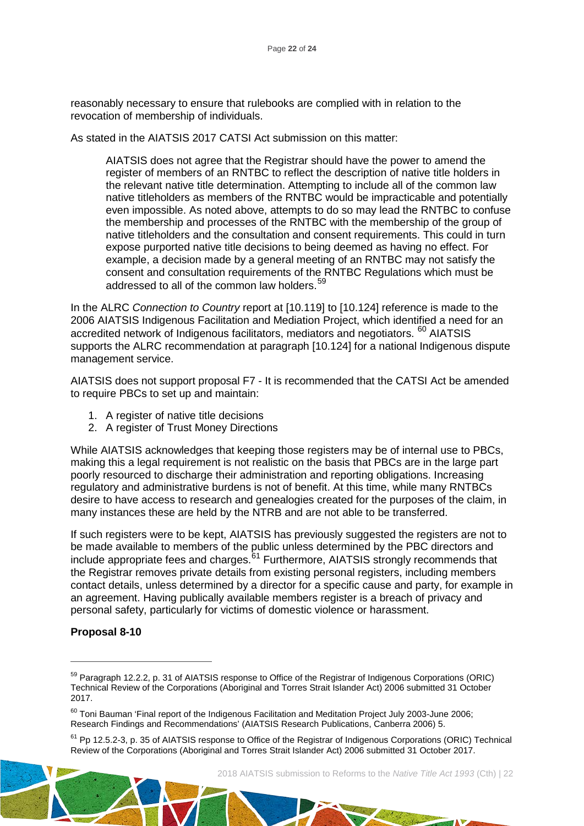reasonably necessary to ensure that rulebooks are complied with in relation to the revocation of membership of individuals.

As stated in the AIATSIS 2017 CATSI Act submission on this matter:

AIATSIS does not agree that the Registrar should have the power to amend the register of members of an RNTBC to reflect the description of native title holders in the relevant native title determination. Attempting to include all of the common law native titleholders as members of the RNTBC would be impracticable and potentially even impossible. As noted above, attempts to do so may lead the RNTBC to confuse the membership and processes of the RNTBC with the membership of the group of native titleholders and the consultation and consent requirements. This could in turn expose purported native title decisions to being deemed as having no effect. For example, a decision made by a general meeting of an RNTBC may not satisfy the consent and consultation requirements of the RNTBC Regulations which must be addressed to all of the common law holders.<sup>[59](#page-22-0)</sup>

In the ALRC *Connection to Country* report at [10.119] to [10.124] reference is made to the 2006 AIATSIS Indigenous Facilitation and Mediation Project, which identified a need for an accredited network of Indigenous facilitators, mediators and negotiators. [60](#page-22-1) AIATSIS supports the ALRC recommendation at paragraph [10.124] for a national Indigenous dispute management service.

AIATSIS does not support proposal F7 - It is recommended that the CATSI Act be amended to require PBCs to set up and maintain:

- 1. A register of native title decisions
- 2. A register of Trust Money Directions

While AIATSIS acknowledges that keeping those registers may be of internal use to PBCs, making this a legal requirement is not realistic on the basis that PBCs are in the large part poorly resourced to discharge their administration and reporting obligations. Increasing regulatory and administrative burdens is not of benefit. At this time, while many RNTBCs desire to have access to research and genealogies created for the purposes of the claim, in many instances these are held by the NTRB and are not able to be transferred.

If such registers were to be kept, AIATSIS has previously suggested the registers are not to be made available to members of the public unless determined by the PBC directors and include appropriate fees and charges.<sup>[61](#page-22-2)</sup> Furthermore, AIATSIS strongly recommends that the Registrar removes private details from existing personal registers, including members contact details, unless determined by a director for a specific cause and party, for example in an agreement. Having publically available members register is a breach of privacy and personal safety, particularly for victims of domestic violence or harassment.

# **Proposal 8-10**

 $\overline{a}$ 

Light of the direct

<span id="page-22-0"></span><sup>&</sup>lt;sup>59</sup> Paragraph 12.2.2, p. 31 of AIATSIS response to Office of the Registrar of Indigenous Corporations (ORIC) Technical Review of the Corporations (Aboriginal and Torres Strait Islander Act) 2006 submitted 31 October 2017.

<span id="page-22-1"></span><sup>&</sup>lt;sup>60</sup> Toni Bauman 'Final report of the Indigenous Facilitation and Meditation Project July 2003-June 2006; Research Findings and Recommendations' (AIATSIS Research Publications, Canberra 2006) 5.

<span id="page-22-2"></span><sup>&</sup>lt;sup>61</sup> Pp 12.5.2-3, p. 35 of AIATSIS response to Office of the Registrar of Indigenous Corporations (ORIC) Technical Review of the Corporations (Aboriginal and Torres Strait Islander Act) 2006 submitted 31 October 2017.